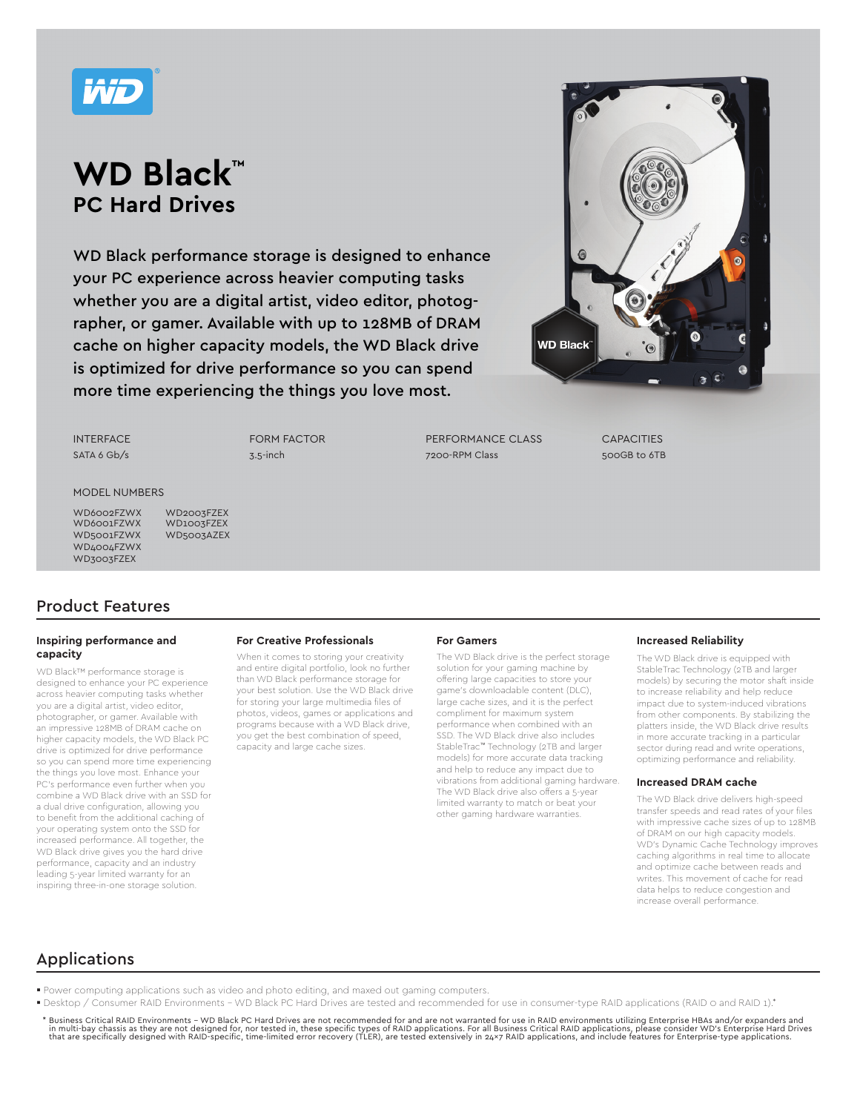

# **WD Black™ PC Hard Drives**

WD Black performance storage is designed to enhance your PC experience across heavier computing tasks whether you are a digital artist, video editor, photographer, or gamer. Available with up to 128MB of DRAM cache on higher capacity models, the WD Black drive is optimized for drive performance so you can spend more time experiencing the things you love most.



INTERFACE SATA 6 Gb/s FORM FACTOR 3.5-inch

PERFORMANCE CLASS 7200-RPM Class

**CAPACITIES** 500GB to 6TB

### MODEL NUMBERS

WD2003FZEX WD1003FZEX

WD6002FZWX WD6001FZWX WD5001FZWX WD5003AZEX WD4004FZWX WD3003FZEX

# Product Features

### **Inspiring performance and capacity**

WD Black™ performance storage is designed to enhance your PC experience across heavier computing tasks whether you are a digital artist, video editor, photographer, or gamer. Available with an impressive 128MB of DRAM cache on higher capacity models, the WD Black PC drive is optimized for drive performance so you can spend more time experiencing the things you love most. Enhance your PC's performance even further when you combine a WD Black drive with an SSD for a dual drive configuration, allowing you to benefit from the additional caching of your operating system onto the SSD for increased performance. All together, the WD Black drive gives you the hard drive performance, capacity and an industry leading 5-year limited warranty for an inspiring three-in-one storage solution.

## **For Creative Professionals**

When it comes to storing your creativity and entire digital portfolio, look no further than WD Black performance storage for your best solution. Use the WD Black drive for storing your large multimedia files of photos, videos, games or applications and programs because with a WD Black drive, you get the best combination of speed, capacity and large cache sizes.

#### **For Gamers**

The WD Black drive is the perfect storage solution for your gaming machine by offering large capacities to store your game's downloadable content (DLC), large cache sizes, and it is the perfect compliment for maximum system performance when combined with an SSD. The WD Black drive also includes StableTrac™ Technology (2TB and larger models) for more accurate data tracking and help to reduce any impact due to vibrations from additional gaming hardware. The WD Black drive also offers a 5-year limited warranty to match or beat your other gaming hardware warranties.

#### **Increased Reliability**

The WD Black drive is equipped with StableTrac Technology (2TB and larger models) by securing the motor shaft inside to increase reliability and help reduce impact due to system-induced vibrations from other components. By stabilizing the platters inside, the WD Black drive results in more accurate tracking in a particular sector during read and write operations, optimizing performance and reliability.

#### **Increased DRAM cache**

The WD Black drive delivers high-speed transfer speeds and read rates of your files with impressive cache sizes of up to 128MB of DRAM on our high capacity models. WD's Dynamic Cache Technology improves caching algorithms in real time to allocate and optimize cache between reads and writes. This movement of cache for read data helps to reduce congestion and increase overall performance.

## Applications

- Power computing applications such as video and photo editing, and maxed out gaming computers.
- Desktop / Consumer RAID Environments WD Black PC Hard Drives are tested and recommended for use in consumer-type RAID applications (RAID 0 and RAID 1).\*
- Business Critical RAID Environments WD Black PC Hard Drives are not recommended for and are not warranted for use in RAID environments utilizing Enterprise HBAs and/or expanders and in multi-bay chassis as they are not designed for, nor tested in, these specific types of RAID applications. For all Business Critical RAID applications, please consider WD's Enterprise Hard Drives<br>that are specifically de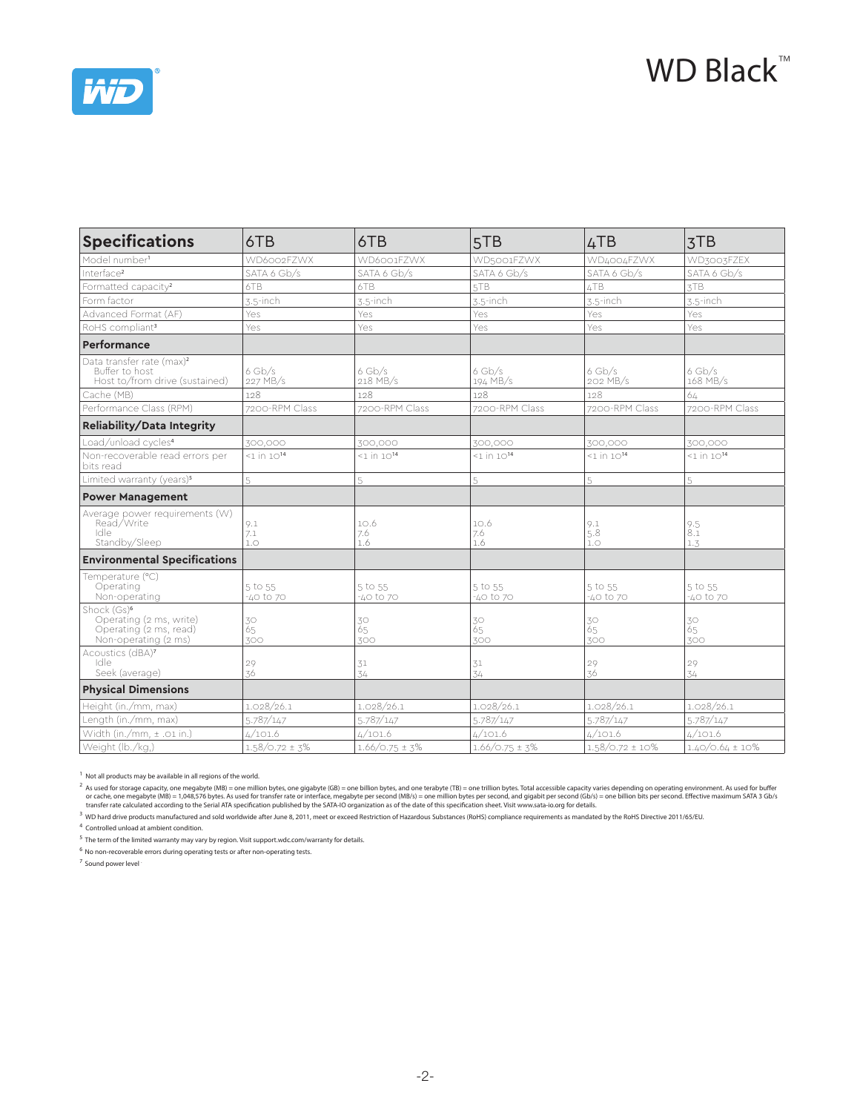



| <b>Specifications</b>                                                                                | 6TB                  | 6TB                  | 5TB                  | 4TB                  | 3TB                  |  |
|------------------------------------------------------------------------------------------------------|----------------------|----------------------|----------------------|----------------------|----------------------|--|
| Model number <sup>1</sup>                                                                            | WD6002FZWX           | WD6001FZWX           | WD5001FZWX           | WD4004FZWX           | WD3003FZEX           |  |
| Interface <sup>2</sup>                                                                               | SATA 6 Gb/s          | SATA 6 Gb/s          | SATA 6 Gb/s          | SATA 6 Gb/s          | SATA 6 Gb/s          |  |
| Formatted capacity <sup>2</sup>                                                                      | 6TB                  | 6TB                  | 5TB                  | 4TB                  | 3TB                  |  |
| Form factor                                                                                          | 3.5-inch             | $3.5$ -inch          | 3.5-inch             | 3.5-inch             | 3.5-inch             |  |
| Advanced Format (AF)                                                                                 | Yes                  | Yes                  | Yes                  | Yes                  | Yes                  |  |
| RoHS compliant <sup>3</sup>                                                                          | Yes                  | Yes                  | Yes                  | Yes                  | Yes                  |  |
| Performance                                                                                          |                      |                      |                      |                      |                      |  |
| Data transfer rate (max) <sup>2</sup><br>Buffer to host<br>Host to/from drive (sustained)            | $6$ Gb/s<br>227 MB/s | $6$ Gb/s<br>218 MB/s | $6$ Gb/s<br>194 MB/s | $6$ Gb/s<br>202 MB/s | $6$ Gb/s<br>168 MB/s |  |
| Cache (MB)                                                                                           | 128                  | 128                  | 128                  | 128                  | 64                   |  |
| Performance Class (RPM)                                                                              | 7200-RPM Class       | 7200-RPM Class       | 7200-RPM Class       | 7200-RPM Class       | 7200-RPM Class       |  |
| Reliability/Data Integrity                                                                           |                      |                      |                      |                      |                      |  |
| Load/unload cycles <sup>4</sup>                                                                      | 300,000              | 300,000              | 300,000              | 300,000              | 300,000              |  |
| Non-recoverable read errors per<br>bits read                                                         | $1$ in $10^{14}$     | $1$ in $10^{14}$     | $1$ in $10^{14}$     | $1$ in $10^{14}$     | $1$ in $10^{14}$     |  |
| Limited warranty (years) <sup>5</sup>                                                                | 5                    | 5                    | 5                    | 5                    | 5                    |  |
| <b>Power Management</b>                                                                              |                      |                      |                      |                      |                      |  |
| Average power requirements (W)<br>Read/Write<br>Idle<br>Standby/Sleep                                | 9.1<br>7.1<br>1.0    | 10.6<br>7.6<br>1.6   | 10.6<br>7.6<br>1.6   | 9.1<br>5.8<br>1.0    | 9.5<br>8.1<br>1.3    |  |
| <b>Environmental Specifications</b>                                                                  |                      |                      |                      |                      |                      |  |
| Temperature (°C)<br>Operating<br>Non-operating                                                       | 5 to 55<br>-40 to 70 | 5 to 55<br>-40 to 70 | 5 to 55<br>-40 to 70 | 5 to 55<br>-40 to 70 | 5 to 55<br>-40 to 70 |  |
| Shock (Gs) <sup>6</sup><br>Operating (2 ms, write)<br>Operating (2 ms, read)<br>Non-operating (2 ms) | 30<br>Ŏ5<br>300      | 30<br>65<br>300      | 30<br>65<br>300      | 30<br>65<br>300      | 30<br>Ŏ5<br>300      |  |
| Acoustics (dBA)7<br>Idle<br>Seek (average)                                                           | 29<br>36             | 31<br>34             | 31<br>34             | 29<br>36             | 29<br>34             |  |
| <b>Physical Dimensions</b>                                                                           |                      |                      |                      |                      |                      |  |
| Height (in./mm, max)                                                                                 | 1.028/26.1           | 1.028/26.1           | 1.028/26.1           | 1.028/26.1           | 1.028/26.1           |  |
| Length (in./mm, max)                                                                                 | 5.787/147            | 5.787/147            | 5.787/147            | 5.787/147            | 5.787/147            |  |
| Width (in./mm, ± .01 in.)                                                                            | 4/101.6              | 4/101.6              | 4/101.6              | 4/101.6              | 4/101.6              |  |
| Weight (lb./kg,)                                                                                     | $1.58/O.72 \pm 3\%$  | $1.66/0.75 \pm 3\%$  | $1.66/0.75 \pm 3\%$  | $1.58/0.72 \pm 10\%$ | $1.40/0.64 \pm 10\%$ |  |

<sup>1</sup> Not all products may be available in all regions of the world.

As used for storage capacity, one megabyte (MB) = one million bytes, one gigabyte (GB) = one billion bytes, and one terabyte (TB) = one trillion bytes. Total accessible capacity varies depending on operating environment. A

<sup>3</sup> WD hard drive products manufactured and sold worldwide after June 8, 2011, meet or exceed Restriction of Hazardous Substances (RoHS) compliance requirements as mandated by the RoHS Directive 2011/65/EU.

4 Controlled unload at ambient condition.

 $^5$  The term of the limited warranty may vary by region. Visit support.wdc.com/warranty for details.

 $<sup>6</sup>$  No non-recoverable errors during operating tests or after non-operating tests.</sup>

7 Sound power level .